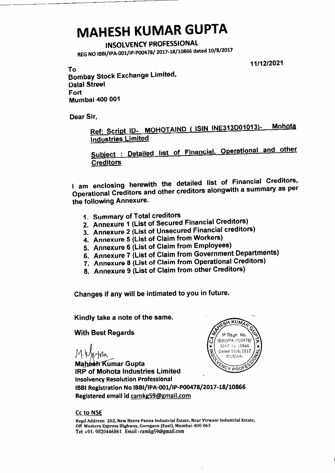## **MAHESH KUMAR GUPTA**

## **INSOLVENCY PROFESSIONAL**

REG NO IBBI/IPA-001/IP-P00478/ 2017-18/10866 dated 10/8/2017

11/12/2021

To **Bombay Stock Exchange Limited, Dalal Street** Fort **Mumbai 400 001** 

Dear Sir,

Ref: Script ID- MOHOTAIND ( ISIN INE313D01013)-**Mohota** Industries Limited

Subject : Detailed list of Financial, Operational and other **Creditors** 

I am enclosing herewith the detailed list of Financial Creditors, Operational Creditors and other creditors alongwith a summary as per the following Annexure.

- 1. Summary of Total creditors
- 2. Annexure 1 (List of Secured Financial Creditors)
- 3. Annexure 2 (List of Unsecured Financial creditors)
- 4. Annexure 5 (List of Claim from Workers)
- 5. Annexure 6 (List of Claim from Employees)
- 6. Annexure 7 (List of Claim from Government Departments)
- 7. Annexure 8 (List of Claim from Operational Creditors)
- 8. Annexure 9 (List of Claim from other Creditors)

Changes if any will be intimated to you in future.

Kindly take a note of the same.

**With Best Regards** 

wmz

**Maheeh Kumar Gupta IRP of Mohota Industries Limited Insolvency Resolution Professional** IBBI Registration No IBBI/IPA-001/IP-P00478/2017-18/10866 Registered email id camkg59@gmail.com



**Cc to NSE** 

Regd Address: 202, New Heera Panna Industrial Estate, Near Virwani Industrial Estate, Off Western Express Highway, Goregaon (East), Mumbai-400 063 Tel: +91- 9820446861 Email: camkg59@gmail.com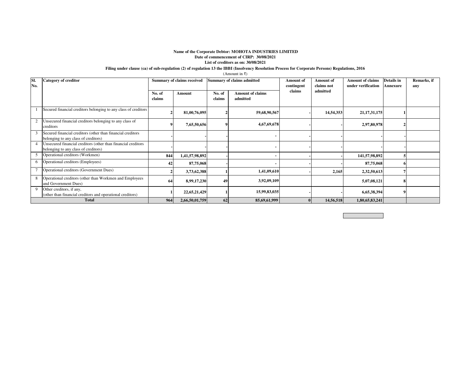## **Name of the Corporate Debtor: MOHOTA INDUSTRIES LIMITED Date of commencement of CIRP: 30/08/2021List of creditors as on: 30/08/2021**

## **Filing under clause (ca) of sub-regulation (2) of regulation 13 the IBBI (Insolvency Resolution Process for Corporate Persons) Regulations, 2016**

(Amount in ₹)

| SI.<br>No. | <b>Category of creditor</b>                                                                           |                  | <b>Summary of claims received</b> |                  | Summary of claims admitted          | <b>Amount</b> of<br>contingent | <b>Amount</b> of<br>claims not | <b>Amount of claims</b><br>under verification | Details in<br><b>Annexure</b> | Remarks, if<br>any |
|------------|-------------------------------------------------------------------------------------------------------|------------------|-----------------------------------|------------------|-------------------------------------|--------------------------------|--------------------------------|-----------------------------------------------|-------------------------------|--------------------|
|            |                                                                                                       | No. of<br>claims | Amount                            | No. of<br>claims | <b>Amount of claims</b><br>admitted | claims                         | admitted                       |                                               |                               |                    |
|            | Secured financial creditors belonging to any class of creditors                                       |                  | 81,00,76,095                      |                  | 59,68,90,567                        |                                | 14,54,353                      | 21, 17, 31, 175                               |                               |                    |
|            | Unsecured financial creditors belonging to any class of<br>creditors                                  |                  | 7,65,50,656                       |                  | 4,67,69,678                         |                                |                                | 2,97,80,978                                   |                               |                    |
|            | Secured financial creditors (other than financial creditors<br>belonging to any class of creditors)   |                  |                                   |                  |                                     |                                |                                |                                               |                               |                    |
|            | Unsecured financial creditors (other than financial creditors<br>belonging to any class of creditors) |                  |                                   |                  |                                     |                                |                                |                                               |                               |                    |
|            | Operational creditors (Workmen)                                                                       | 844              | 1,41,57,98,892                    |                  |                                     |                                |                                | 141,57,98,892                                 |                               |                    |
| 6          | Operational creditors (Employees)                                                                     | 42               | 87,75,068                         |                  |                                     |                                |                                | 87,75,068                                     |                               |                    |
|            | Operational creditors (Government Dues)                                                               |                  | 3,73,62,388                       |                  | 1,41,09,610                         |                                | 2,165                          | 2,32,50,613                                   |                               |                    |
| 8          | Operational creditors (other than Workmen and Employees<br>and Government Dues)                       | 64               | 8,99,17,230                       | 49               | 3,92,09,109                         |                                |                                | 5,07,08,121                                   | 8                             |                    |
|            | Other creditors, if any,<br>(other than financial creditors and operational creditors)                |                  | 22,65,21,429                      |                  | 15,99,83,035                        |                                |                                | 6,65,38,394                                   |                               |                    |
|            | <b>Total</b>                                                                                          | 964              | 2,66,50,01,759                    | 62               | 85,69,61,999                        |                                | 14,56,518                      | 1,80,65,83,241                                |                               |                    |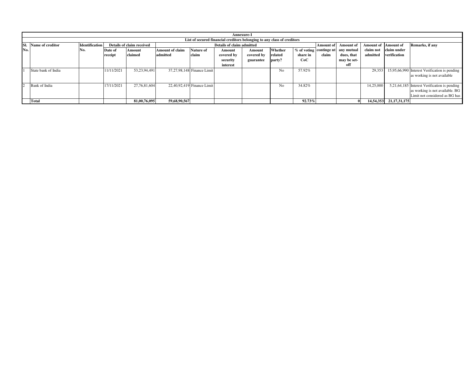|                | Annexure-1          |                                                                         |            |                           |                 |                            |                           |            |         |          |                  |                                    |                            |                             |                                               |
|----------------|---------------------|-------------------------------------------------------------------------|------------|---------------------------|-----------------|----------------------------|---------------------------|------------|---------|----------|------------------|------------------------------------|----------------------------|-----------------------------|-----------------------------------------------|
|                |                     | List of secured financial creditors belonging to any class of creditors |            |                           |                 |                            |                           |            |         |          |                  |                                    |                            |                             |                                               |
| ISI.           | Name of creditor    | <b>Identification</b>                                                   |            | Details of claim received |                 |                            | Details of claim admitted |            |         |          | <b>Amount of</b> | Amount of                          | <b>Amount of Amount of</b> |                             | Remarks, if any                               |
| No.            |                     | N0.                                                                     | Date of    | Amount                    | Amount of claim | <b>Nature of</b>           | Amount                    | Amount     | Whether |          |                  | % of voting continge nt any mutual | claim not                  | claim under                 |                                               |
|                |                     |                                                                         | receipt    | claimed                   | admitted        | claim                      | covered by                | covered by | related | share in | claim            | dues, that                         | admitted                   | verification                |                                               |
|                |                     |                                                                         |            |                           |                 |                            | security                  | guarantee  | party?  | CoC      |                  | may be set-                        |                            |                             |                                               |
|                |                     |                                                                         |            |                           |                 |                            | interest                  |            |         |          |                  | off                                |                            |                             |                                               |
|                | State bank of India |                                                                         | 11/11/2021 | 53.23.94.491              |                 | 37,27,98,148 Finance Limit |                           |            | No      | 57.92%   |                  |                                    | 29,353                     |                             | 15,95,66,990 Interest Verification is pending |
|                |                     |                                                                         |            |                           |                 |                            |                           |            |         |          |                  |                                    |                            |                             | as working is not available                   |
|                |                     |                                                                         |            |                           |                 |                            |                           |            |         |          |                  |                                    |                            |                             |                                               |
| $\overline{2}$ | Bank of India       |                                                                         | 17/11/2021 | 27.76.81.604              |                 | 22,40,92,419 Finance Limit |                           |            | No.     | 34.82%   |                  |                                    | 14,25,000                  |                             | 5,21,64,185 Interest Verification is pending  |
|                |                     |                                                                         |            |                           |                 |                            |                           |            |         |          |                  |                                    |                            |                             | as working is not available. BG               |
|                |                     |                                                                         |            |                           |                 |                            |                           |            |         |          |                  |                                    |                            |                             | Limit not considered as BG has                |
|                | Total               |                                                                         |            | 81,00,76,095              | 59,68,90,567    |                            |                           |            |         | 92.73%   |                  |                                    |                            | 14, 54, 353 21, 17, 31, 175 |                                               |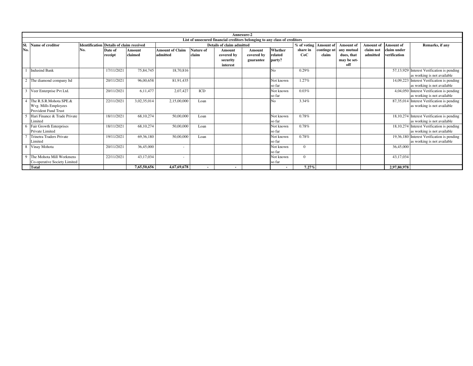|              |                              | Annexure-2                                      |            |             |                        |                  |                                                                           |            |           |               |                  |                  |                            |              |                                            |
|--------------|------------------------------|-------------------------------------------------|------------|-------------|------------------------|------------------|---------------------------------------------------------------------------|------------|-----------|---------------|------------------|------------------|----------------------------|--------------|--------------------------------------------|
|              |                              |                                                 |            |             |                        |                  | List of unsecured financial creditors belonging to any class of creditors |            |           |               |                  |                  |                            |              |                                            |
| ISI.         | Name of creditor             | <b>Identification Details of claim received</b> |            |             |                        |                  | <b>Details of claim admitted</b>                                          |            |           | $%$ of voting | <b>Amount of</b> | <b>Amount</b> of | <b>Amount of Amount of</b> |              | Remarks, if any                            |
| No.          |                              | No.                                             | Date of    | Amount      | <b>Amount of Claim</b> | <b>Nature of</b> | Amount                                                                    | Amount     | Whether   | share in      | continge nt      | any mutual       | claim not                  | claim under  |                                            |
|              |                              |                                                 | receipt    | claimed     | admitted               | claim            | covered by                                                                | covered by | related   | CoC           | claim            | dues, that       | admitted                   | verification |                                            |
|              |                              |                                                 |            |             |                        |                  | security                                                                  | guarantee  | party?    |               |                  | may be set-      |                            |              |                                            |
|              |                              |                                                 |            |             |                        |                  | interest                                                                  |            |           |               |                  | off              |                            |              |                                            |
|              | <b>Indusind Bank</b>         |                                                 | 17/11/2021 | 75,84,745   | 18,70,816              |                  |                                                                           |            | No        | 0.29%         |                  |                  |                            |              | 57,13,929 Interest Verification is pending |
|              |                              |                                                 |            |             |                        |                  |                                                                           |            |           |               |                  |                  |                            |              | as working is not available                |
|              | The diamond company ltd      |                                                 | 20/11/2021 | 96,00,658   | 81,91,435              |                  |                                                                           |            | Not known | 1.27%         |                  |                  |                            |              | 14,09,223 Interest Verification is pending |
|              |                              |                                                 |            |             |                        |                  |                                                                           |            | so far    |               |                  |                  |                            |              | as working is not available                |
|              | Veer Enterprise Pvt Ltd.     |                                                 | 20/11/2021 | 6,11,477    | 2,07,427               | ICD              |                                                                           |            | Not known | 0.03%         |                  |                  |                            |              | 4,04,050 Interest Verification is pending  |
|              |                              |                                                 |            |             |                        |                  |                                                                           |            | so far    |               |                  |                  |                            |              | as working is not available                |
|              | The R.S.R.Mohota SPE.&       |                                                 | 22/11/2021 | 3,02,35,014 | 2,15,00,000            | Loan             |                                                                           |            | No        | 3.34%         |                  |                  |                            | 87,35,014    | Interest Verification is pending           |
|              | Wvg. Mills Employees         |                                                 |            |             |                        |                  |                                                                           |            |           |               |                  |                  |                            |              | as working is not available                |
|              | Provident Fund Trust         |                                                 |            |             |                        |                  |                                                                           |            |           |               |                  |                  |                            |              |                                            |
|              | Hari Finance & Trade Private |                                                 | 18/11/2021 | 68,10,274   | 50,00,000              | Loan             |                                                                           |            | Not known | 0.78%         |                  |                  |                            |              | 18,10,274 Interest Verification is pending |
|              | Limited                      |                                                 |            |             |                        |                  |                                                                           |            | so far    |               |                  |                  |                            |              | as working is not available                |
|              | Fair Growth Enterprises      |                                                 | 18/11/2021 | 68,10,274   | 50,00,000              | Loan             |                                                                           |            | Not known | 0.78%         |                  |                  |                            |              | 18,10,274 Interest Verification is pending |
|              | Private Limited              |                                                 |            |             |                        |                  |                                                                           |            | so far    |               |                  |                  |                            |              | as working is not available                |
|              | Trinetra Traders Private     |                                                 | 19/11/2021 | 69,36,180   | 50,00,000              | Loan             |                                                                           |            | Not known | 0.78%         |                  |                  |                            |              | 19,36,180 Interest Verification is pending |
|              | Limited                      |                                                 |            |             |                        |                  |                                                                           |            | so far    |               |                  |                  |                            |              | as working is not available                |
|              | 8 Vinay Mohota               |                                                 | 20/11/2021 | 36,45,000   | $\sim$                 |                  |                                                                           |            | Not known | $\Omega$      |                  |                  |                            | 36,45,000    |                                            |
|              |                              |                                                 |            |             |                        |                  |                                                                           |            | so far    |               |                  |                  |                            |              |                                            |
| $\mathbf{Q}$ | The Mohota Mill Workmens     |                                                 | 22/11/2021 | 43,17,034   | $\blacksquare$         |                  |                                                                           |            | Not known | $\Omega$      |                  |                  |                            | 43,17,034    |                                            |
|              | Co-operative Society Limited |                                                 |            |             |                        |                  |                                                                           |            | so far    |               |                  |                  |                            |              |                                            |
|              | <b>Total</b>                 |                                                 |            | 7,65,50,656 | 4,67,69,678            |                  | $\sim$                                                                    |            |           | 7.27%         |                  |                  |                            | 2,97,80,978  |                                            |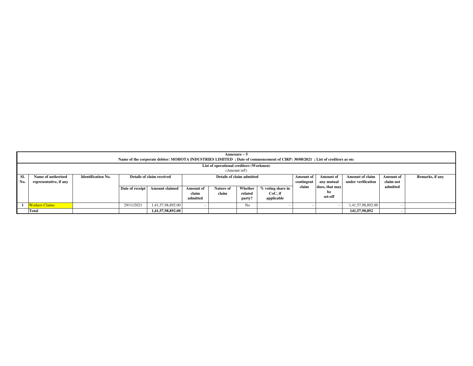|     | Annexure – 5<br>Name of the corporate debtor: MOHOTA INDUSTRIES LIMITED; Date of commencement of CIRP: 30/08/2021; List of creditors as on:                                                                 |  |                 |                       |           |           |         |                   |            |                |                    |           |  |
|-----|-------------------------------------------------------------------------------------------------------------------------------------------------------------------------------------------------------------|--|-----------------|-----------------------|-----------|-----------|---------|-------------------|------------|----------------|--------------------|-----------|--|
|     | List of operational creditors (Workmen)                                                                                                                                                                     |  |                 |                       |           |           |         |                   |            |                |                    |           |  |
|     | (Amount in $\bar{x}$ )                                                                                                                                                                                      |  |                 |                       |           |           |         |                   |            |                |                    |           |  |
| SI. | Name of authorised<br>Details of claim admitted<br><b>Amount of claim</b><br>Remarks, if any<br><b>Identification No.</b><br>Details of claim received<br><b>Amount of</b><br><b>Amount of</b><br>Amount of |  |                 |                       |           |           |         |                   |            |                |                    |           |  |
| No. | representative, if any                                                                                                                                                                                      |  |                 |                       |           |           |         |                   | contingent | any mutual     | under verification | claim not |  |
|     |                                                                                                                                                                                                             |  | Date of receipt | <b>Amount claimed</b> | Amount of | Nature of | Whether | % voting share in | claim      | dues, that may |                    | admitted  |  |
|     |                                                                                                                                                                                                             |  |                 |                       | claim     | claim     | related | $CoC.$ if         |            | be             |                    |           |  |
|     |                                                                                                                                                                                                             |  |                 |                       | admitted  |           | party?  | applicable        |            | set-off        |                    |           |  |
|     | <b>Workers Claims</b>                                                                                                                                                                                       |  | 29/11/2021      | 1,41,57,98,892.00     |           |           | No      |                   |            |                | 1,41,57,98,892.00  |           |  |
|     | 1,41,57,98,892.00<br>Total<br>141,57,98,892                                                                                                                                                                 |  |                 |                       |           |           |         |                   |            |                |                    |           |  |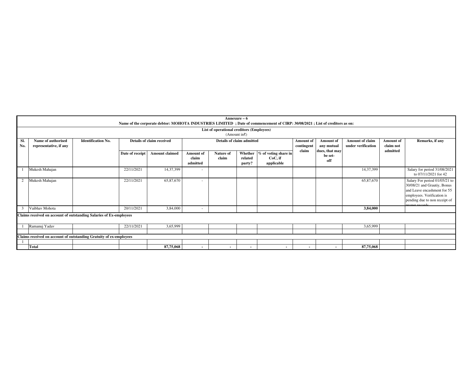|            | Annexure - 6<br>Name of the corporate debtor: MOHOTA INDUSTRIES LIMITED; Date of commencement of CIRP: 30/08/2021; List of creditors as on:                                                                                                                                |                                                                    |                 |                       |                                |                    |                              |                                               |        |                                  |           |          |                                                                                                                                                                             |  |
|------------|----------------------------------------------------------------------------------------------------------------------------------------------------------------------------------------------------------------------------------------------------------------------------|--------------------------------------------------------------------|-----------------|-----------------------|--------------------------------|--------------------|------------------------------|-----------------------------------------------|--------|----------------------------------|-----------|----------|-----------------------------------------------------------------------------------------------------------------------------------------------------------------------------|--|
|            | List of operational creditors (Employees)<br>(Amount in $\bar{x}$ )                                                                                                                                                                                                        |                                                                    |                 |                       |                                |                    |                              |                                               |        |                                  |           |          |                                                                                                                                                                             |  |
| SI.<br>No. | <b>Identification No.</b><br>Details of claim received<br>Details of claim admitted<br>Name of authorised<br><b>Amount of claim</b><br><b>Amount</b> of<br>Amount of<br>Amount of<br>under verification<br>representative, if any<br>contingent<br>claim not<br>any mutual |                                                                    |                 |                       |                                |                    |                              |                                               |        |                                  |           |          | Remarks, if any                                                                                                                                                             |  |
|            |                                                                                                                                                                                                                                                                            |                                                                    | Date of receipt | <b>Amount claimed</b> | Amount of<br>claim<br>admitted | Nature of<br>claim | Whether<br>related<br>party? | % of voting share in<br>CoC, if<br>applicable | claim  | dues, that may<br>be set-<br>off |           | admitted |                                                                                                                                                                             |  |
|            | Mukesh Mahajan                                                                                                                                                                                                                                                             |                                                                    | 22/11/2021      | 14,37,399             |                                |                    |                              |                                               |        |                                  | 14,37,399 |          | Salary for period 31/08/2021<br>to 07/11/2021 for 42                                                                                                                        |  |
|            | Mukesh Mahajan                                                                                                                                                                                                                                                             |                                                                    | 22/11/2021      | 65,87,670             |                                |                    |                              |                                               |        |                                  | 65,87,670 |          | Salary For period 01/05/21 to<br>30/08/21 and Grautiy, Bonus<br>and Leave encashment for 55<br>employees. Verification is<br>pending due to non receipt of<br>roper recorde |  |
|            | Vaibhav Mohota                                                                                                                                                                                                                                                             |                                                                    | 20/11/2021      | 3,84,000              | $\overline{\phantom{a}}$       |                    |                              |                                               |        |                                  | 3,84,000  |          |                                                                                                                                                                             |  |
|            |                                                                                                                                                                                                                                                                            | Claims received on account of outstanding Salaries of Ex-employees |                 |                       |                                |                    |                              |                                               |        |                                  |           |          |                                                                                                                                                                             |  |
|            | Ramanuj Yadav                                                                                                                                                                                                                                                              |                                                                    | 22/11/2021      | 3,65,999              |                                |                    |                              |                                               |        |                                  | 3,65,999  |          |                                                                                                                                                                             |  |
|            |                                                                                                                                                                                                                                                                            |                                                                    |                 |                       |                                |                    |                              |                                               |        |                                  |           |          |                                                                                                                                                                             |  |
|            |                                                                                                                                                                                                                                                                            | Claims received on account of outstanding Gratuity of ex-employees |                 |                       |                                |                    |                              |                                               |        |                                  |           |          |                                                                                                                                                                             |  |
|            |                                                                                                                                                                                                                                                                            |                                                                    |                 |                       |                                |                    |                              |                                               |        |                                  |           |          |                                                                                                                                                                             |  |
|            | Total                                                                                                                                                                                                                                                                      |                                                                    |                 | 87,75,068             |                                | $\sim$             | $\blacksquare$               | $\sim$                                        | $\sim$ | $\sim$                           | 87,75,068 |          |                                                                                                                                                                             |  |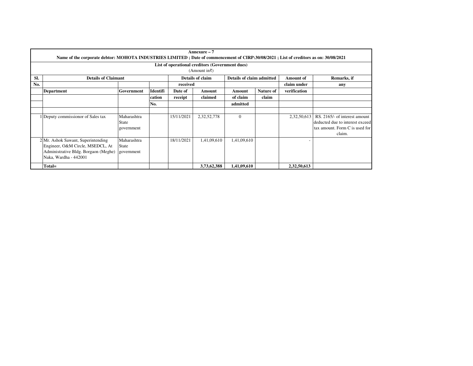|     |                                                                                                                                       |              |          |            | $Annexure-7$                                    |                           |           |                  |                                 |
|-----|---------------------------------------------------------------------------------------------------------------------------------------|--------------|----------|------------|-------------------------------------------------|---------------------------|-----------|------------------|---------------------------------|
|     | Name of the corporate debtor: MOHOTA INDUSTRIES LIMITED; Date of commencement of CIRP:30/08/2021; List of creditors as on: 30/08/2021 |              |          |            |                                                 |                           |           |                  |                                 |
|     |                                                                                                                                       |              |          |            | List of operational creditors (Government dues) |                           |           |                  |                                 |
|     |                                                                                                                                       |              |          |            | (Amount in $\bar{x}$ )                          |                           |           |                  |                                 |
| SI. | <b>Details of Claimant</b>                                                                                                            |              |          |            | Details of claim                                | Details of claim admitted |           | <b>Amount</b> of | Remarks, if                     |
| No. |                                                                                                                                       |              |          | received   |                                                 |                           |           | claim under      | any                             |
|     | <b>Department</b>                                                                                                                     | Government   | Identifi | Date of    | Amount                                          | Amount                    | Nature of | verification     |                                 |
|     |                                                                                                                                       |              | cation   | receipt    | claimed                                         | of claim                  | claim     |                  |                                 |
|     |                                                                                                                                       |              | No.      |            |                                                 | admitted                  |           |                  |                                 |
|     |                                                                                                                                       |              |          |            |                                                 |                           |           |                  |                                 |
|     | 1 Deputy commissionor of Sales tax                                                                                                    | Maharashtra  |          | 15/11/2021 | 2,32,52,778                                     | $\overline{0}$            |           | 2,32,50,613      | RS. 2165/- of interest amount   |
|     |                                                                                                                                       | State        |          |            |                                                 |                           |           |                  | deducted due to interest exceed |
|     |                                                                                                                                       | government   |          |            |                                                 |                           |           |                  | tax amount. Form C is used for  |
|     |                                                                                                                                       |              |          |            |                                                 |                           |           |                  | claim.                          |
|     | 2 Mr. Ashok Sawant, Superintending                                                                                                    | Maharashtra  |          | 18/11/2021 | 1,41,09,610                                     | 1,41,09,610               |           |                  |                                 |
|     | Engineer, O&M Circle, MSEDCL, At                                                                                                      | <b>State</b> |          |            |                                                 |                           |           |                  |                                 |
|     | Administrative Bldg. Borgaon (Meghe)                                                                                                  | government   |          |            |                                                 |                           |           |                  |                                 |
|     | Naka, Wardha - 442001                                                                                                                 |              |          |            |                                                 |                           |           |                  |                                 |
|     | Total=                                                                                                                                |              |          |            | 3,73,62,388                                     | 1,41,09,610               |           | 2,32,50,613      |                                 |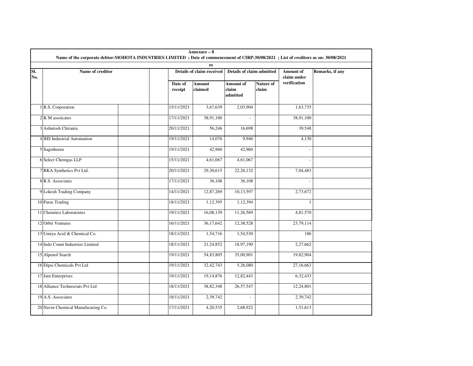|            | Name of the corporate debtor:MOHOTA INDUSTRIES LIMITED; Date of commencement of CIRP:30/08/2021; List of creditors as on: 30/08/2021 |                                                  | Annexure - 8              |                                |                    |                          |                 |
|------------|--------------------------------------------------------------------------------------------------------------------------------------|--------------------------------------------------|---------------------------|--------------------------------|--------------------|--------------------------|-----------------|
|            |                                                                                                                                      |                                                  | $\mathbf{Z}\mathbf{X}$    |                                |                    |                          |                 |
| SI.<br>No. | Name of creditor                                                                                                                     |                                                  | Details of claim received | Details of claim admitted      |                    | Amount of<br>claim under | Remarks, if any |
|            |                                                                                                                                      | Date of<br>$\operatorname{\mathbf{r}\acute{e}e}$ | Amount<br>claimed         | Amount of<br>claim<br>admitted | Nature of<br>claim | verification             |                 |
|            | 1 R.S. Corporation                                                                                                                   | 15/11/2021                                       | 3,67,639                  | 2,03,904                       |                    | 1,63,735                 |                 |
|            | 2 K M assoicates                                                                                                                     | 17/11/2021                                       | 38,91,100                 | $\mathcal{L}$                  |                    | 38,91,100                |                 |
|            | 3 Ashutosh Chirania                                                                                                                  | 20/11/2021                                       | 56,246                    | 16,698                         |                    | 39,548                   |                 |
|            | 4 IHS Industrial Automation                                                                                                          | 19/11/2021                                       | 14,076                    | 9,946                          |                    | 4,130                    |                 |
|            | 5 Sagotheren                                                                                                                         | 19/11/2021                                       | 42,960                    | 42,960                         |                    |                          |                 |
|            | 6 Select Chemgas LLP                                                                                                                 | 15/11/2021                                       | 4,61,067                  | 4,61,067                       |                    |                          |                 |
|            | 7 RKA Synthetics Pvt Ltd.                                                                                                            | 20/11/2021                                       | 29,30,615                 | 22, 26, 132                    |                    | 7,04,483                 |                 |
|            | 8 R.S. Associates                                                                                                                    | 17/11/2021                                       | 36,108                    | 36,108                         |                    |                          |                 |
|            | 9 Lokesh Trading Company                                                                                                             | 14/11/2021                                       | 12,87,269                 | 10,13,597                      |                    | 2,73,672                 |                 |
|            | 10 Paras Trading                                                                                                                     | 18/11/2021                                       | 1,12,395                  | 1,12,394                       |                    | $\mathbf{1}$             |                 |
|            | 11 Chemitex Laboratories                                                                                                             | 19/11/2021                                       | 16,08,139                 | 11,26,569                      |                    | 4,81,570                 |                 |
|            | 12 Orbit Ventures                                                                                                                    | 16/11/2021                                       | 36,17,642                 | 12,38,528                      |                    | 23,79,114                |                 |
|            | 13 Umiya Acid & Chemical Co.                                                                                                         | 18/11/2021                                       | 1,54,716                  | 1,54,530                       |                    | 186                      |                 |
|            | 14 Indo Count Industries Limited                                                                                                     | 18/11/2021                                       | 21,24,852                 | 18,97,190                      |                    | 2,27,662                 |                 |
|            | 15 Alpenol Starch                                                                                                                    | 19/11/2021                                       | 54,83,805                 | 35,00,901                      |                    | 19,82,904                |                 |
|            | 16 Dipsi Chemicals Pvt Ltd                                                                                                           | 19/11/2021                                       | 32, 42, 743               | 5,26,080                       |                    | 27,16,663                |                 |
|            | 17 Jain Enterprises                                                                                                                  | 19/11/2021                                       | 19,14,876                 | 12,82,443                      |                    | 6,32,433                 |                 |
|            | 18 Alliance Technocrats Pvt Ltd                                                                                                      | 18/11/2021                                       | 38,82,348                 | 26,57,547                      |                    | 12,24,801                |                 |
|            | 19 A.S. Associates                                                                                                                   | 18/11/2021                                       | 2,39,742                  | $\blacksquare$                 |                    | 2,39,742                 |                 |
|            | 20 Navin Chemical Manufacuring Co.                                                                                                   | 17/11/2021                                       | 4,20,535                  | 2,68,922                       |                    | 1,51,613                 |                 |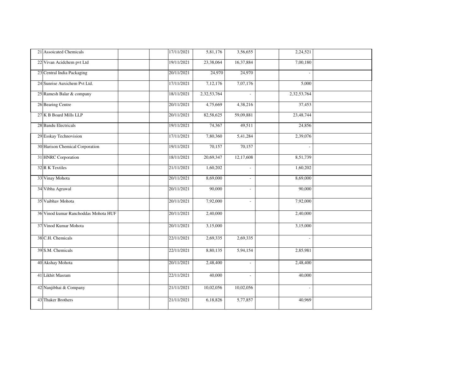| 21 Assoicated Chemicals              | 17/11/2021 | 5,81,176    | 3,56,655                 | 2,24,521            |  |
|--------------------------------------|------------|-------------|--------------------------|---------------------|--|
| 22 Vivan Acidchem pvt Ltd            | 19/11/2021 | 23,38,064   | 16,37,884                | 7,00,180            |  |
| 23 Central India Packaging           | 20/11/2021 | 24,970      | 24,970                   |                     |  |
| 24 Sunrise Auxichem Pvt Ltd.         | 17/11/2021 | 7,12,176    | 7,07,176                 | 5,000               |  |
| 25 Ramesh Balar & company            | 18/11/2021 | 2,32,53,764 | $\blacksquare$           | 2,32,53,764         |  |
| 26 Bearing Centre                    | 20/11/2021 | 4,75,669    | 4,38,216                 | $\overline{37,453}$ |  |
| 27 K B Board Mills LLP               | 20/11/2021 | 82,58,625   | 59,09,881                | 23,48,744           |  |
| 28 Bandu Electricals                 | 19/11/2021 | 74,367      | 49,511                   | 24,856              |  |
| 29 Esskay Technovision               | 17/11/2021 | 7,80,360    | 5,41,284                 | 2,39,076            |  |
| 30 Harison Chemical Corporation      | 19/11/2021 | 70,157      | 70,157                   |                     |  |
| 31 HNRC Corporation                  | 18/11/2021 | 20,69,347   | 12,17,608                | 8,51,739            |  |
| 32 R K Textiles                      | 21/11/2021 | 1,60,202    | $\overline{\phantom{a}}$ | 1,60,202            |  |
| 33 Vinay Mohota                      | 20/11/2021 | 8,69,000    | $\blacksquare$           | 8,69,000            |  |
| 34 Vibha Agrawal                     | 20/11/2021 | 90,000      | $\bar{\phantom{a}}$      | 90,000              |  |
| 35 Vaibhav Mohota                    | 20/11/2021 | 7,92,000    | $\mathcal{L}$            | 7,92,000            |  |
| 36 Vinod kumar Ranchoddas Mohota HUF | 20/11/2021 | 2,40,000    |                          | 2,40,000            |  |
| 37 Vinod Kumar Mohota                | 20/11/2021 | 3,15,000    |                          | 3,15,000            |  |
| 38 C.H. Chemicals                    | 22/11/2021 | 2,69,335    | 2,69,335                 |                     |  |
| 39 S.M. Chemicals                    | 22/11/2021 | 8,80,135    | 5,94,154                 | 2,85,981            |  |
| 40 Akshay Mohota                     | 20/11/2021 | 2,48,400    | $\mathbf{r}$             | 2,48,400            |  |
| 41 Likhit Masram                     | 22/11/2021 | 40,000      | $\sim$                   | 40,000              |  |
| 42 Nanjibhai & Company               | 21/11/2021 | 10,02,056   | 10,02,056                |                     |  |
| 43 Thaker Brothers                   | 21/11/2021 | 6,18,826    | 5,77,857                 | 40,969              |  |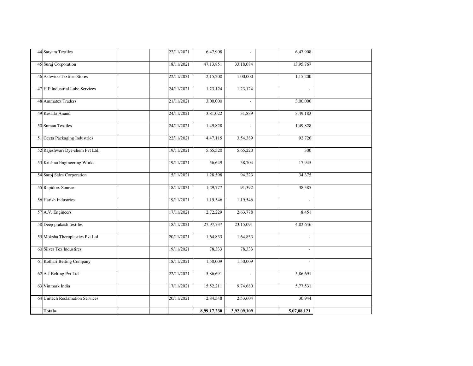| 44 Satyam Textiles              | 22/11/2021 | 6,47,908    | $\mathbb{Z}^2$ | 6,47,908    |  |
|---------------------------------|------------|-------------|----------------|-------------|--|
| 45 Suraj Corporation            | 18/11/2021 | 47,13,851   | 33,18,084      | 13,95,767   |  |
| 46 Ashwico Textiles Stores      | 22/11/2021 | 2,15,200    | 1,00,000       | 1,15,200    |  |
| 47 H P Industrial Lube Services | 24/11/2021 | 1,23,124    | 1,23,124       |             |  |
| <b>48 Ammatex Traders</b>       | 21/11/2021 | 3,00,000    | $\overline{a}$ | 3,00,000    |  |
| 49 Kesarla Anand                | 24/11/2021 | 3,81,022    | 31,839         | 3,49,183    |  |
| 50 Suman Textiles               | 24/11/2021 | 1,49,828    | $\mathcal{L}$  | 1,49,828    |  |
| 51 Geeta Packaging Industries   | 22/11/2021 | 4,47,115    | 3,54,389       | 92,726      |  |
| 52 Rajeshwari Dye-chem Pvt Ltd. | 19/11/2021 | 5,65,520    | 5,65,220       | 300         |  |
| 53 Krishna Engineering Works    | 19/11/2021 | 56,649      | 38,704         | 17,945      |  |
| 54 Saroj Sales Corporation      | 15/11/2021 | 1,28,598    | 94,223         | 34,375      |  |
| 55 Rapidtex Source              | 18/11/2021 | 1,29,777    | 91,392         | 38,385      |  |
| 56 Harish Industries            | 19/11/2021 | 1,19,546    | 1,19,546       |             |  |
| 57 A.V. Engineers               | 17/11/2021 | 2,72,229    | 2,63,778       | 8,451       |  |
| 58 Deep prakash textiles        | 18/11/2021 | 27,97,737   | 23,15,091      | 4,82,646    |  |
| 59 Moksha Theroplastics Pvt Ltd | 20/11/2021 | 1,64,833    | 1,64,833       |             |  |
| 60 Silver Tex Industires        | 19/11/2021 | 78,333      | 78,333         |             |  |
| 61 Kothari Belting Company      | 18/11/2021 | 1,50,009    | 1,50,009       |             |  |
| 62 A J Belting Pvt Ltd          | 22/11/2021 | 5,86,691    | $\mathcal{L}$  | 5,86,691    |  |
| 63 Vinmark India                | 17/11/2021 | 15,52,211   | 9,74,680       | 5,77,531    |  |
| 64 Unitech Reclamation Services | 20/11/2021 | 2,84,548    | 2,53,604       | 30,944      |  |
| Total=                          |            | 8,99,17,230 | 3,92,09,109    | 5,07,08,121 |  |